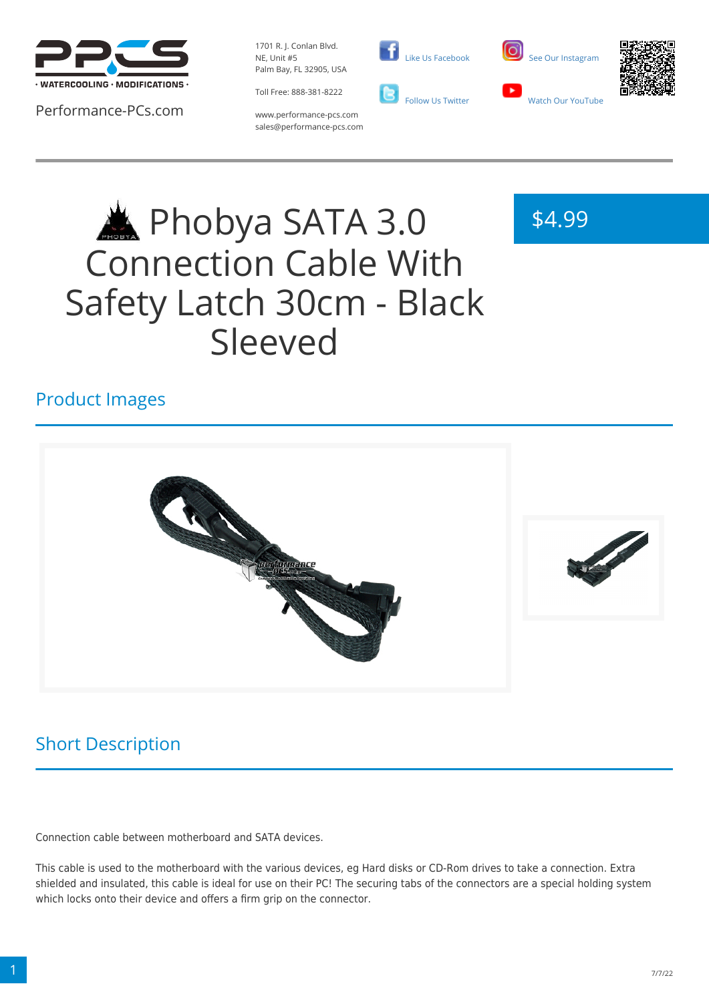

Performance-PCs.com

1701 R. J. Conlan Blvd. NE, Unit #5 Palm Bay, FL 32905, USA

Toll Free: 888-381-8222





\$4.99



www.performance-pcs.com sales@performance-pcs.com

# Phobya SATA 3.0 Connection Cable With Safety Latch 30cm - Black Sleeved

## Product Images



# Short Description

Connection cable between motherboard and SATA devices.

This cable is used to the motherboard with the various devices, eg Hard disks or CD-Rom drives to take a connection. Extra shielded and insulated, this cable is ideal for use on their PC! The securing tabs of the connectors are a special holding system which locks onto their device and offers a firm grip on the connector.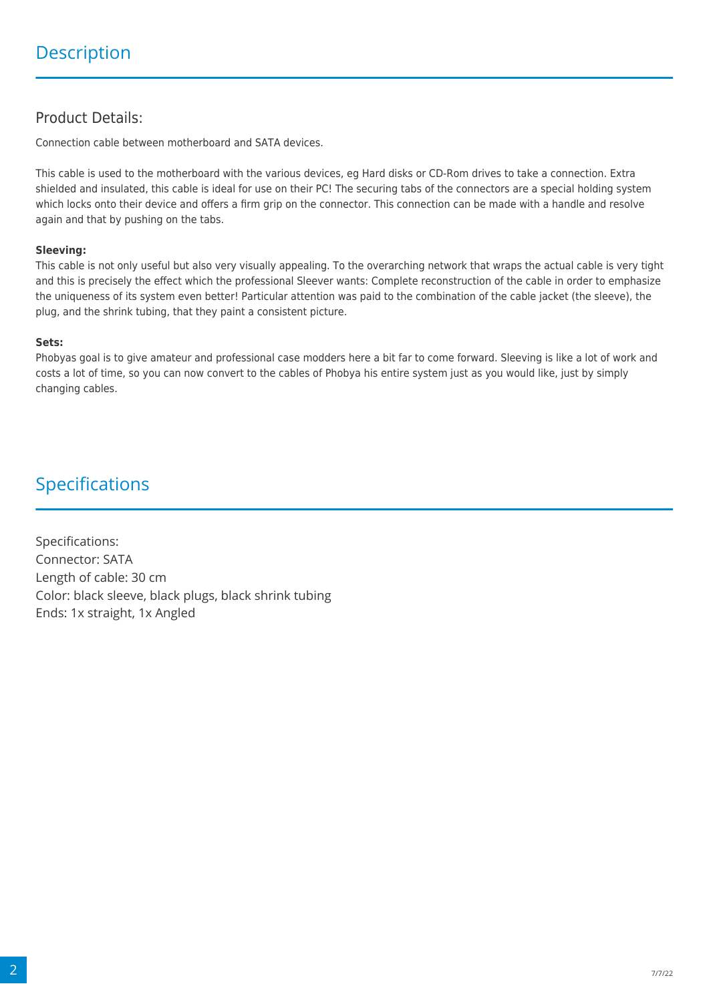### Product Details:

Connection cable between motherboard and SATA devices.

This cable is used to the motherboard with the various devices, eg Hard disks or CD-Rom drives to take a connection. Extra shielded and insulated, this cable is ideal for use on their PC! The securing tabs of the connectors are a special holding system which locks onto their device and offers a firm grip on the connector. This connection can be made with a handle and resolve again and that by pushing on the tabs.

#### **Sleeving:**

This cable is not only useful but also very visually appealing. To the overarching network that wraps the actual cable is very tight and this is precisely the effect which the professional Sleever wants: Complete reconstruction of the cable in order to emphasize the uniqueness of its system even better! Particular attention was paid to the combination of the cable jacket (the sleeve), the plug, and the shrink tubing, that they paint a consistent picture.

#### **Sets:**

Phobyas goal is to give amateur and professional case modders here a bit far to come forward. Sleeving is like a lot of work and costs a lot of time, so you can now convert to the cables of Phobya his entire system just as you would like, just by simply changing cables.

## Specifications

Specifications: Connector: SATA Length of cable: 30 cm Color: black sleeve, black plugs, black shrink tubing Ends: 1x straight, 1x Angled